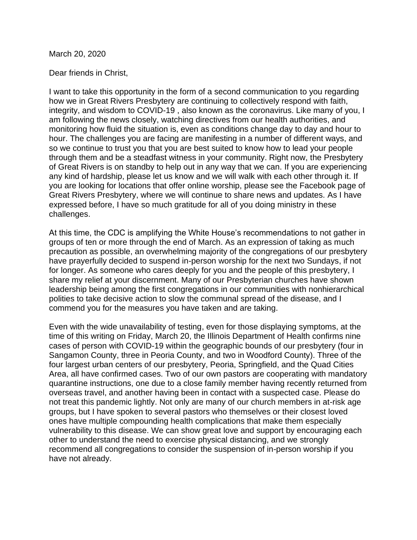March 20, 2020

Dear friends in Christ,

I want to take this opportunity in the form of a second communication to you regarding how we in Great Rivers Presbytery are continuing to collectively respond with faith, integrity, and wisdom to COVID-19 , also known as the coronavirus. Like many of you, I am following the news closely, watching directives from our health authorities, and monitoring how fluid the situation is, even as conditions change day to day and hour to hour. The challenges you are facing are manifesting in a number of different ways, and so we continue to trust you that you are best suited to know how to lead your people through them and be a steadfast witness in your community. Right now, the Presbytery of Great Rivers is on standby to help out in any way that we can. If you are experiencing any kind of hardship, please let us know and we will walk with each other through it. If you are looking for locations that offer online worship, please see the Facebook page of Great Rivers Presbytery, where we will continue to share news and updates. As I have expressed before, I have so much gratitude for all of you doing ministry in these challenges.

At this time, the CDC is amplifying the White House's recommendations to not gather in groups of ten or more through the end of March. As an expression of taking as much precaution as possible, an overwhelming majority of the congregations of our presbytery have prayerfully decided to suspend in-person worship for the next two Sundays, if not for longer. As someone who cares deeply for you and the people of this presbytery, I share my relief at your discernment. Many of our Presbyterian churches have shown leadership being among the first congregations in our communities with nonhierarchical polities to take decisive action to slow the communal spread of the disease, and I commend you for the measures you have taken and are taking.

Even with the wide unavailability of testing, even for those displaying symptoms, at the time of this writing on Friday, March 20, the Illinois Department of Health confirms nine cases of person with COVID-19 within the geographic bounds of our presbytery (four in Sangamon County, three in Peoria County, and two in Woodford County). Three of the four largest urban centers of our presbytery, Peoria, Springfield, and the Quad Cities Area, all have confirmed cases. Two of our own pastors are cooperating with mandatory quarantine instructions, one due to a close family member having recently returned from overseas travel, and another having been in contact with a suspected case. Please do not treat this pandemic lightly. Not only are many of our church members in at-risk age groups, but I have spoken to several pastors who themselves or their closest loved ones have multiple compounding health complications that make them especially vulnerability to this disease. We can show great love and support by encouraging each other to understand the need to exercise physical distancing, and we strongly recommend all congregations to consider the suspension of in-person worship if you have not already.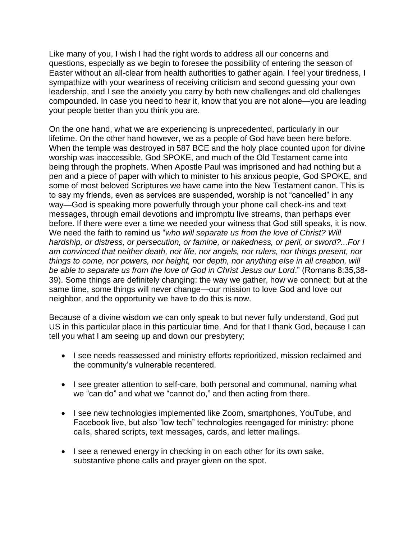Like many of you, I wish I had the right words to address all our concerns and questions, especially as we begin to foresee the possibility of entering the season of Easter without an all-clear from health authorities to gather again. I feel your tiredness, I sympathize with your weariness of receiving criticism and second guessing your own leadership, and I see the anxiety you carry by both new challenges and old challenges compounded. In case you need to hear it, know that you are not alone—you are leading your people better than you think you are.

On the one hand, what we are experiencing is unprecedented, particularly in our lifetime. On the other hand however, we as a people of God have been here before. When the temple was destroyed in 587 BCE and the holy place counted upon for divine worship was inaccessible, God SPOKE, and much of the Old Testament came into being through the prophets. When Apostle Paul was imprisoned and had nothing but a pen and a piece of paper with which to minister to his anxious people, God SPOKE, and some of most beloved Scriptures we have came into the New Testament canon. This is to say my friends, even as services are suspended, worship is not "cancelled" in any way—God is speaking more powerfully through your phone call check-ins and text messages, through email devotions and impromptu live streams, than perhaps ever before. If there were ever a time we needed your witness that God still speaks, it is now. We need the faith to remind us "*who will separate us from the love of Christ? Will hardship, or distress, or persecution, or famine, or nakedness, or peril, or sword?...For I am convinced that neither death, nor life, nor angels, nor rulers, nor things present, nor things to come, nor powers, nor height, nor depth, nor anything else in all creation, will be able to separate us from the love of God in Christ Jesus our Lord*." (Romans 8:35,38- 39). Some things are definitely changing: the way we gather, how we connect; but at the same time, some things will never change—our mission to love God and love our neighbor, and the opportunity we have to do this is now.

Because of a divine wisdom we can only speak to but never fully understand, God put US in this particular place in this particular time. And for that I thank God, because I can tell you what I am seeing up and down our presbytery;

- I see needs reassessed and ministry efforts reprioritized, mission reclaimed and the community's vulnerable recentered.
- I see greater attention to self-care, both personal and communal, naming what we "can do" and what we "cannot do," and then acting from there.
- I see new technologies implemented like Zoom, smartphones, YouTube, and Facebook live, but also "low tech" technologies reengaged for ministry: phone calls, shared scripts, text messages, cards, and letter mailings.
- I see a renewed energy in checking in on each other for its own sake, substantive phone calls and prayer given on the spot.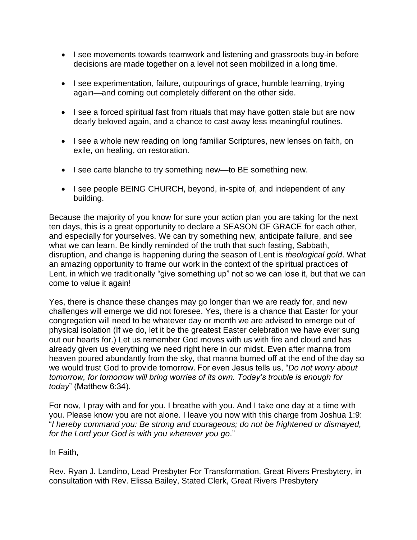- I see movements towards teamwork and listening and grassroots buy-in before decisions are made together on a level not seen mobilized in a long time.
- I see experimentation, failure, outpourings of grace, humble learning, trying again—and coming out completely different on the other side.
- I see a forced spiritual fast from rituals that may have gotten stale but are now dearly beloved again, and a chance to cast away less meaningful routines.
- I see a whole new reading on long familiar Scriptures, new lenses on faith, on exile, on healing, on restoration.
- I see carte blanche to try something new—to BE something new.
- I see people BEING CHURCH, beyond, in-spite of, and independent of any building.

Because the majority of you know for sure your action plan you are taking for the next ten days, this is a great opportunity to declare a SEASON OF GRACE for each other, and especially for yourselves. We can try something new, anticipate failure, and see what we can learn. Be kindly reminded of the truth that such fasting, Sabbath, disruption, and change is happening during the season of Lent is *theological gold*. What an amazing opportunity to frame our work in the context of the spiritual practices of Lent, in which we traditionally "give something up" not so we can lose it, but that we can come to value it again!

Yes, there is chance these changes may go longer than we are ready for, and new challenges will emerge we did not foresee. Yes, there is a chance that Easter for your congregation will need to be whatever day or month we are advised to emerge out of physical isolation (If we do, let it be the greatest Easter celebration we have ever sung out our hearts for.) Let us remember God moves with us with fire and cloud and has already given us everything we need right here in our midst. Even after manna from heaven poured abundantly from the sky, that manna burned off at the end of the day so we would trust God to provide tomorrow. For even Jesus tells us, "*Do not worry about tomorrow, for tomorrow will bring worries of its own. Today's trouble is enough for today*" (Matthew 6:34).

For now, I pray with and for you. I breathe with you. And I take one day at a time with you. Please know you are not alone. I leave you now with this charge from Joshua 1:9: "*I hereby command you: Be strong and courageous; do not be frightened or dismayed, for the Lord your God is with you wherever you go*."

In Faith,

Rev. Ryan J. Landino, Lead Presbyter For Transformation, Great Rivers Presbytery, in consultation with Rev. Elissa Bailey, Stated Clerk, Great Rivers Presbytery